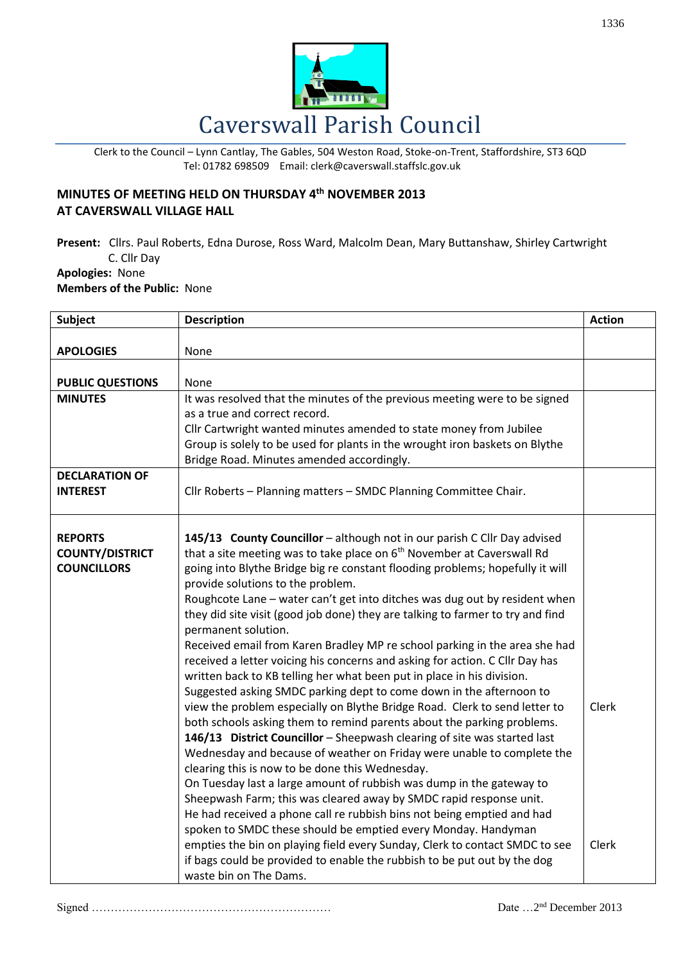

Clerk to the Council – Lynn Cantlay, The Gables, 504 Weston Road, Stoke-on-Trent, Staffordshire, ST3 6QD Tel: 01782 698509 Email: clerk@caverswall.staffslc.gov.uk

## **MINUTES OF MEETING HELD ON THURSDAY 4 th NOVEMBER 2013 AT CAVERSWALL VILLAGE HALL**

**Present:** Cllrs. Paul Roberts, Edna Durose, Ross Ward, Malcolm Dean, Mary Buttanshaw, Shirley Cartwright C. Cllr Day **Apologies:** None **Members of the Public:** None

| <b>Subject</b>          | <b>Description</b>                                                                                                                                           | <b>Action</b> |
|-------------------------|--------------------------------------------------------------------------------------------------------------------------------------------------------------|---------------|
|                         |                                                                                                                                                              |               |
| <b>APOLOGIES</b>        | None                                                                                                                                                         |               |
| <b>PUBLIC QUESTIONS</b> | None                                                                                                                                                         |               |
| <b>MINUTES</b>          | It was resolved that the minutes of the previous meeting were to be signed                                                                                   |               |
|                         | as a true and correct record.                                                                                                                                |               |
|                         | Cllr Cartwright wanted minutes amended to state money from Jubilee                                                                                           |               |
|                         | Group is solely to be used for plants in the wrought iron baskets on Blythe                                                                                  |               |
|                         | Bridge Road. Minutes amended accordingly.                                                                                                                    |               |
| <b>DECLARATION OF</b>   |                                                                                                                                                              |               |
| <b>INTEREST</b>         | Cllr Roberts - Planning matters - SMDC Planning Committee Chair.                                                                                             |               |
|                         |                                                                                                                                                              |               |
|                         |                                                                                                                                                              |               |
| <b>REPORTS</b>          | 145/13 County Councillor - although not in our parish C Cllr Day advised                                                                                     |               |
| <b>COUNTY/DISTRICT</b>  | that a site meeting was to take place on 6 <sup>th</sup> November at Caverswall Rd                                                                           |               |
| <b>COUNCILLORS</b>      | going into Blythe Bridge big re constant flooding problems; hopefully it will                                                                                |               |
|                         | provide solutions to the problem.                                                                                                                            |               |
|                         | Roughcote Lane - water can't get into ditches was dug out by resident when<br>they did site visit (good job done) they are talking to farmer to try and find |               |
|                         | permanent solution.                                                                                                                                          |               |
|                         | Received email from Karen Bradley MP re school parking in the area she had                                                                                   |               |
|                         | received a letter voicing his concerns and asking for action. C Cllr Day has                                                                                 |               |
|                         | written back to KB telling her what been put in place in his division.                                                                                       |               |
|                         | Suggested asking SMDC parking dept to come down in the afternoon to                                                                                          |               |
|                         | view the problem especially on Blythe Bridge Road. Clerk to send letter to                                                                                   | Clerk         |
|                         | both schools asking them to remind parents about the parking problems.                                                                                       |               |
|                         | 146/13 District Councillor - Sheepwash clearing of site was started last                                                                                     |               |
|                         | Wednesday and because of weather on Friday were unable to complete the                                                                                       |               |
|                         | clearing this is now to be done this Wednesday.                                                                                                              |               |
|                         | On Tuesday last a large amount of rubbish was dump in the gateway to                                                                                         |               |
|                         | Sheepwash Farm; this was cleared away by SMDC rapid response unit.                                                                                           |               |
|                         | He had received a phone call re rubbish bins not being emptied and had                                                                                       |               |
|                         | spoken to SMDC these should be emptied every Monday. Handyman                                                                                                |               |
|                         | empties the bin on playing field every Sunday, Clerk to contact SMDC to see                                                                                  | Clerk         |
|                         | if bags could be provided to enable the rubbish to be put out by the dog                                                                                     |               |
|                         | waste bin on The Dams.                                                                                                                                       |               |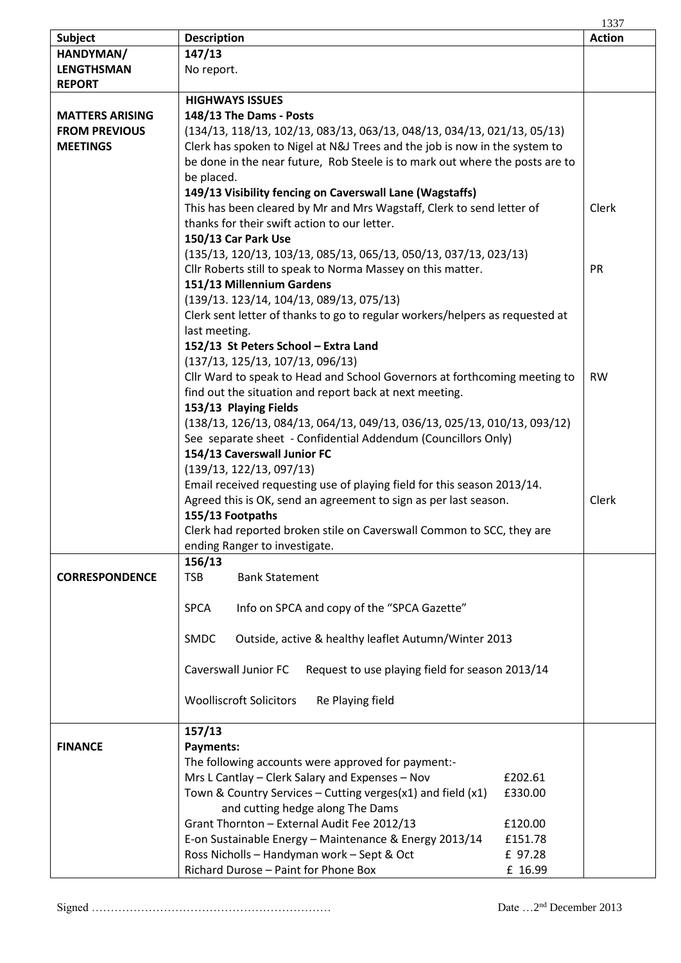|                        |                                                                                                     | 1337          |
|------------------------|-----------------------------------------------------------------------------------------------------|---------------|
| <b>Subject</b>         | <b>Description</b>                                                                                  | <b>Action</b> |
| HANDYMAN/              | 147/13                                                                                              |               |
| <b>LENGTHSMAN</b>      | No report.                                                                                          |               |
| <b>REPORT</b>          |                                                                                                     |               |
|                        | <b>HIGHWAYS ISSUES</b>                                                                              |               |
| <b>MATTERS ARISING</b> | 148/13 The Dams - Posts                                                                             |               |
| <b>FROM PREVIOUS</b>   | (134/13, 118/13, 102/13, 083/13, 063/13, 048/13, 034/13, 021/13, 05/13)                             |               |
| <b>MEETINGS</b>        | Clerk has spoken to Nigel at N&J Trees and the job is now in the system to                          |               |
|                        | be done in the near future, Rob Steele is to mark out where the posts are to                        |               |
|                        | be placed.                                                                                          |               |
|                        | 149/13 Visibility fencing on Caverswall Lane (Wagstaffs)                                            |               |
|                        | This has been cleared by Mr and Mrs Wagstaff, Clerk to send letter of                               | Clerk         |
|                        | thanks for their swift action to our letter.                                                        |               |
|                        | 150/13 Car Park Use                                                                                 |               |
|                        | (135/13, 120/13, 103/13, 085/13, 065/13, 050/13, 037/13, 023/13)                                    |               |
|                        | Cllr Roberts still to speak to Norma Massey on this matter.                                         | PR            |
|                        | 151/13 Millennium Gardens                                                                           |               |
|                        | (139/13. 123/14, 104/13, 089/13, 075/13)                                                            |               |
|                        | Clerk sent letter of thanks to go to regular workers/helpers as requested at                        |               |
|                        | last meeting.                                                                                       |               |
|                        | 152/13 St Peters School - Extra Land                                                                |               |
|                        | (137/13, 125/13, 107/13, 096/13)                                                                    |               |
|                        | Cllr Ward to speak to Head and School Governors at forthcoming meeting to                           | <b>RW</b>     |
|                        | find out the situation and report back at next meeting.                                             |               |
|                        | 153/13 Playing Fields                                                                               |               |
|                        | (138/13, 126/13, 084/13, 064/13, 049/13, 036/13, 025/13, 010/13, 093/12)                            |               |
|                        | See separate sheet - Confidential Addendum (Councillors Only)                                       |               |
|                        | 154/13 Caverswall Junior FC                                                                         |               |
|                        | (139/13, 122/13, 097/13)<br>Email received requesting use of playing field for this season 2013/14. |               |
|                        | Agreed this is OK, send an agreement to sign as per last season.                                    | Clerk         |
|                        | 155/13 Footpaths                                                                                    |               |
|                        | Clerk had reported broken stile on Caverswall Common to SCC, they are                               |               |
|                        | ending Ranger to investigate.                                                                       |               |
|                        | 156/13                                                                                              |               |
| <b>CORRESPONDENCE</b>  | <b>TSB</b><br><b>Bank Statement</b>                                                                 |               |
|                        |                                                                                                     |               |
|                        | Info on SPCA and copy of the "SPCA Gazette"<br><b>SPCA</b>                                          |               |
|                        |                                                                                                     |               |
|                        | <b>SMDC</b><br>Outside, active & healthy leaflet Autumn/Winter 2013                                 |               |
|                        |                                                                                                     |               |
|                        | Caverswall Junior FC<br>Request to use playing field for season 2013/14                             |               |
|                        |                                                                                                     |               |
|                        | <b>Woolliscroft Solicitors</b><br>Re Playing field                                                  |               |
|                        |                                                                                                     |               |
|                        | 157/13                                                                                              |               |
| <b>FINANCE</b>         | Payments:                                                                                           |               |
|                        | The following accounts were approved for payment:-                                                  |               |
|                        | Mrs L Cantlay - Clerk Salary and Expenses - Nov<br>£202.61                                          |               |
|                        | Town & Country Services – Cutting verges( $x1$ ) and field ( $x1$ )<br>£330.00                      |               |
|                        | and cutting hedge along The Dams                                                                    |               |
|                        | Grant Thornton - External Audit Fee 2012/13<br>£120.00                                              |               |
|                        | E-on Sustainable Energy - Maintenance & Energy 2013/14<br>£151.78<br>£ 97.28                        |               |
|                        | Ross Nicholls - Handyman work - Sept & Oct<br>Richard Durose - Paint for Phone Box                  |               |
|                        | £ 16.99                                                                                             |               |

Signed ……………………………………………………… Date …2